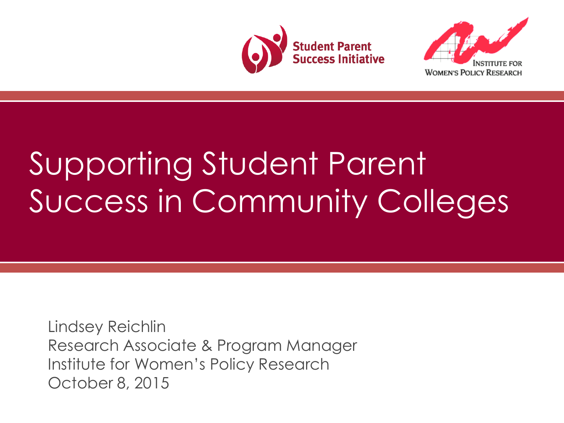



# Supporting Student Parent Success in Community Colleges

Lindsey Reichlin Research Associate & Program Manager Institute for Women's Policy Research October 8, 2015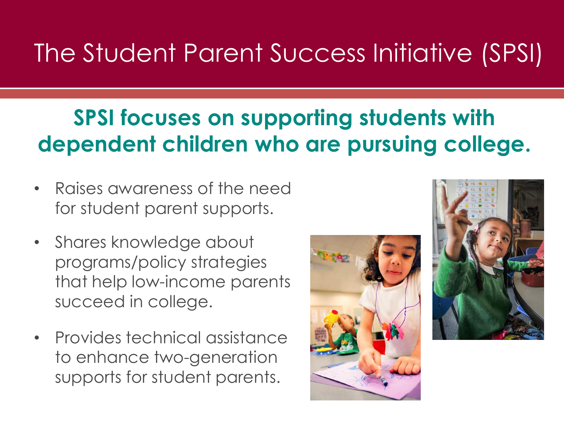### The Student Parent Success Initiative (SPSI)

### **SPSI focuses on supporting students with dependent children who are pursuing college.**

- Raises awareness of the need for student parent supports.
- Shares knowledge about programs/policy strategies that help low-income parents succeed in college.
- Provides technical assistance to enhance two-generation supports for student parents.



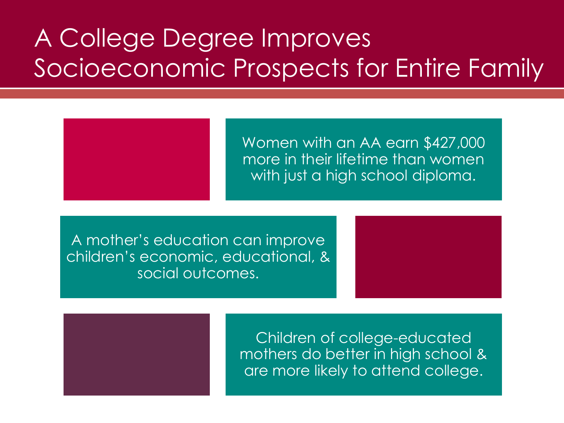### A College Degree Improves Socioeconomic Prospects for Entire Family



Women with an AA earn \$427,000 more in their lifetime than women with just a high school diploma.

A mother's education can improve children's economic, educational, & social outcomes.



Children of college-educated mothers do better in high school & are more likely to attend college.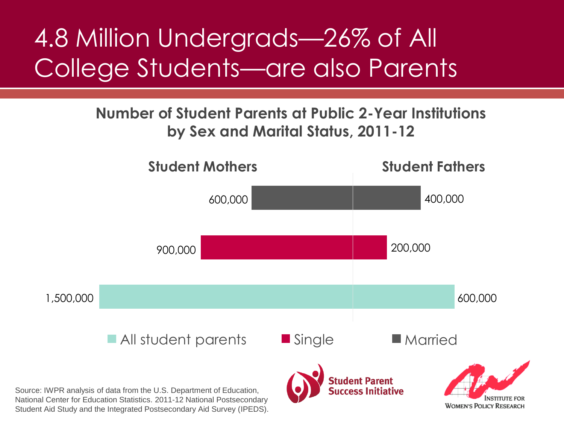### 4.8 Million Undergrads—26% of All College Students—are also Parents

#### **Number of Student Parents at Public 2-Year Institutions by Sex and Marital Status, 2011-12**



Student Aid Study and the Integrated Postsecondary Aid Survey (IPEDS).

**WOMEN'S POLICY RESEARCH**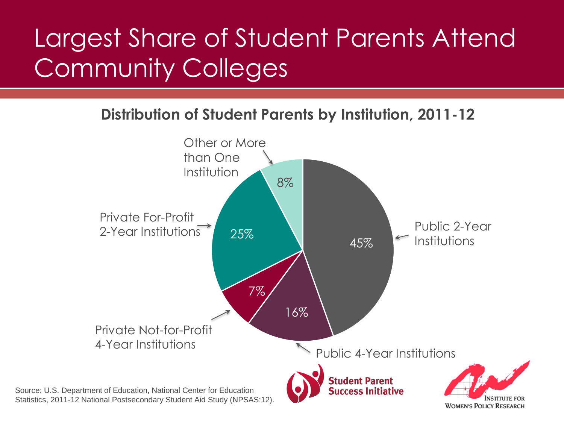# Largest Share of Student Parents Attend Community Colleges

**Distribution of Student Parents by Institution, 2011-12**

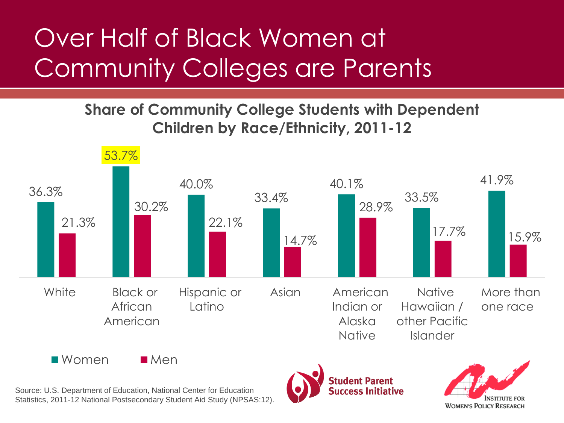# Over Half of Black Women at Community Colleges are Parents

### **Share of Community College Students with Dependent Children by Race/Ethnicity, 2011-12**



 $\blacksquare$  Women  $\blacksquare$  Men

Source: U.S. Department of Education, National Center for Education Statistics, 2011-12 National Postsecondary Student Aid Study (NPSAS:12).



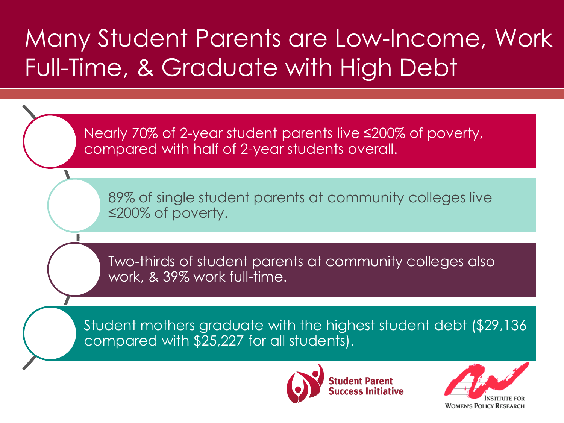### Many Student Parents are Low-Income, Work Full-Time, & Graduate with High Debt

Nearly 70% of 2-year student parents live ≤200% of poverty, compared with half of 2-year students overall.

89% of single student parents at community colleges live ≤200% of poverty.

Two-thirds of student parents at community colleges also work, & 39% work full-time.

Student mothers graduate with the highest student debt (\$29,136 compared with \$25,227 for all students).



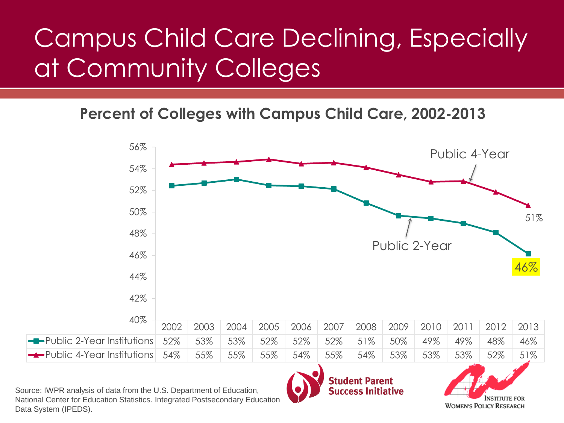# Campus Child Care Declining, Especially at Community Colleges

**Percent of Colleges with Campus Child Care, 2002-2013**



Source: IWPR analysis of data from the U.S. Department of Education, National Center for Education Statistics. Integrated Postsecondary Education Data System (IPEDS).

### **Student Parent Success Initiative**

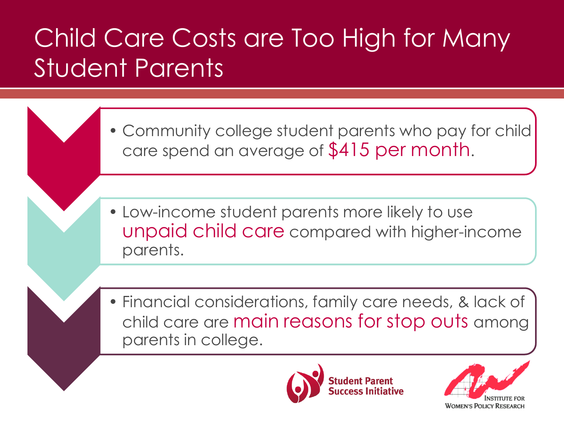# Child Care Costs are Too High for Many Student Parents

- Community college student parents who pay for child care spend an average of \$415 per month.
- Low-income student parents more likely to use unpaid child care compared with higher-income parents.
- Financial considerations, family care needs, & lack of child care are main reasons for stop outs among parents in college.



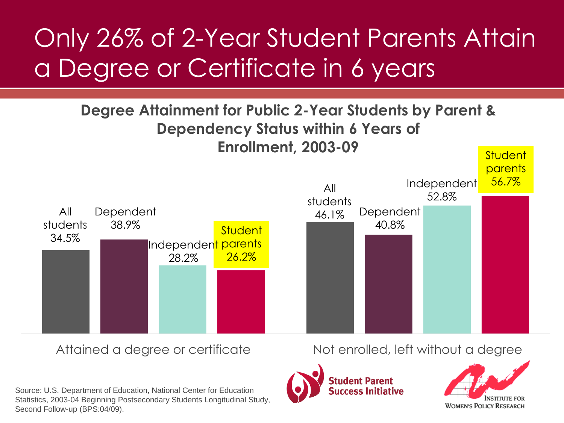# Only 26% of 2-Year Student Parents Attain a Degree or Certificate in 6 years

#### **Degree Attainment for Public 2-Year Students by Parent & Dependency Status within 6 Years of Enrollment, 2003-09 Student**



Source: U.S. Department of Education, National Center for Education Statistics, 2003-04 Beginning Postsecondary Students Longitudinal Study, Second Follow-up (BPS:04/09).

Attained a degree or certificate Not enrolled, left without a degree



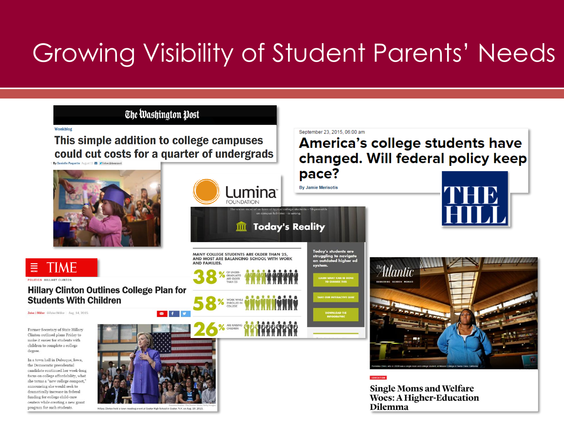### Growing Visibility of Student Parents' Needs



Hillary Clinton held a town meeting event at Exeter High School in Exeter, N.H. on Aug. 10, 2015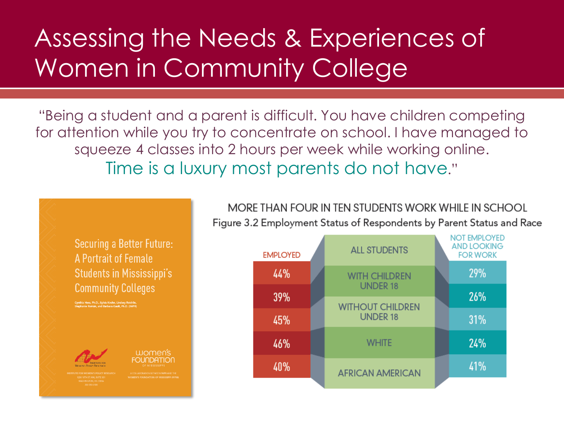### Assessing the Needs & Experiences of Women in Community College

"Being a student and a parent is difficult. You have children competing for attention while you try to concentrate on school. I have managed to squeeze 4 classes into 2 hours per week while working online. Time is a luxury most parents do not have."



MORE THAN FOUR IN TEN STUDENTS WORK WHILE IN SCHOOL Figure 3.2 Employment Status of Respondents by Parent Status and Race

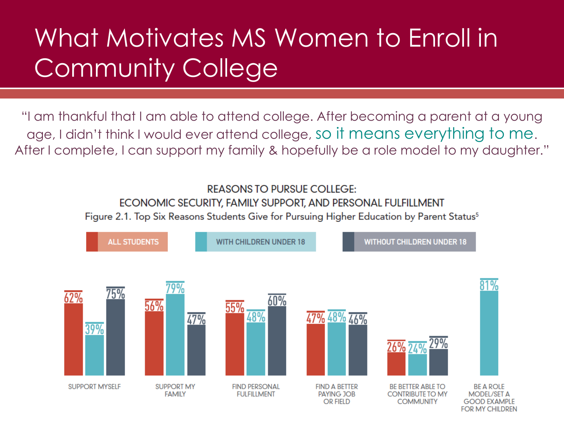## What Motivates MS Women to Enroll in Community College

"I am thankful that I am able to attend college. After becoming a parent at a young age, I didn't think I would ever attend college, so it means everything to me. After I complete, I can support my family & hopefully be a role model to my daughter."

#### **REASONS TO PURSUE COLLEGE:** ECONOMIC SECURITY, FAMILY SUPPORT, AND PERSONAL FULFILLMENT Figure 2.1. Top Six Reasons Students Give for Pursuing Higher Education by Parent Status<sup>5</sup>

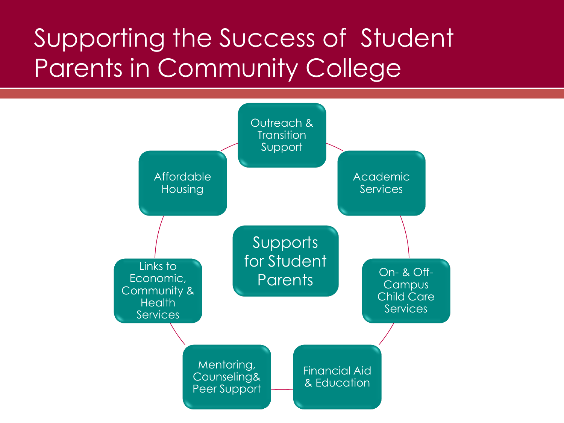### Supporting the Success of Student Parents in Community College